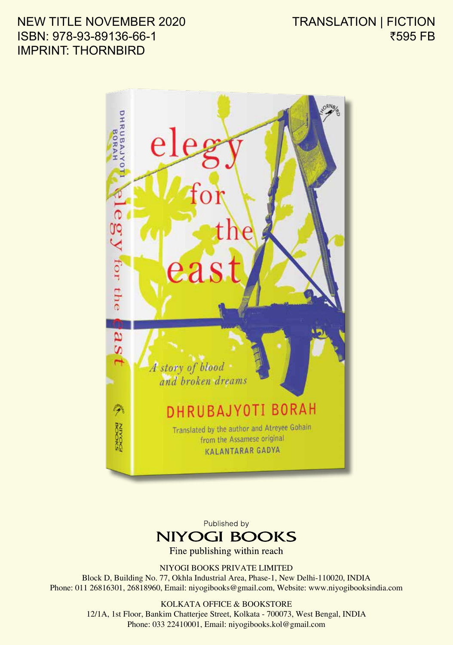## NEW TITLE NOVEMBER 2020 ISBN: 978-93-89136-66-1 IMPRINT: THORNBIRD

TRANSLATION | FICTION ₹595 FB



Published by **NIYOGI BOOKS** 

Fine publishing within reach

NIYOGI BOOKS PRIVATE LIMITED Block D, Building No. 77, Okhla Industrial Area, Phase-1, New Delhi-110020, INDIA Phone: 011 26816301, 26818960, Email: niyogibooks@gmail.com, Website: www.niyogibooksindia.com

> KOLKATA OFFICE & BOOKSTORE 12/1A, 1st Floor, Bankim Chatterjee Street, Kolkata - 700073, West Bengal, INDIA Phone: 033 22410001, Email: niyogibooks.kol@gmail.com